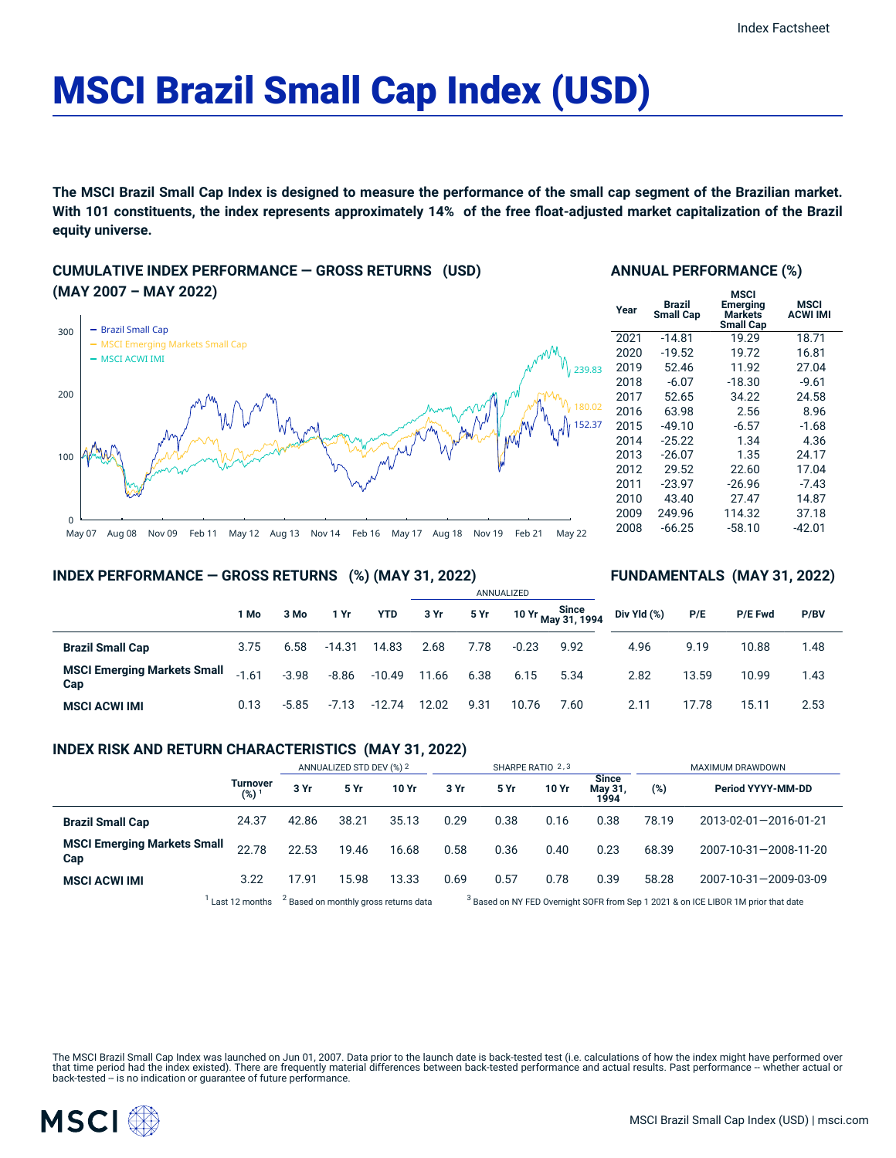# MSCI Brazil Small Cap Index (USD)

The MSCI Brazil Small Cap Index is designed to measure the performance of the small cap segment of the Brazilian market. With 101 constituents, the index represents approximately 14% of the free float-adjusted market capitalization of the Brazil **equity universe.**

## **CUMULATIVE INDEX PERFORMANCE — GROSS RETURNS (USD) (MAY 2007 – MAY 2022)**



## **ANNUAL PERFORMANCE (%)**

| Year | Brazil<br><b>Small Cap</b> | MSCI<br>Emerging<br>Markets<br><b>Small Cap</b> | <b>MSCI</b><br><b>ACWI IMI</b> |
|------|----------------------------|-------------------------------------------------|--------------------------------|
| 2021 | $-14.81$                   | 19.29                                           | 18.71                          |
| 2020 | $-19.52$                   | 19.72                                           | 16.81                          |
| 2019 | 52.46                      | 11.92                                           | 27.04                          |
| 2018 | $-6.07$                    | $-18.30$                                        | $-9.61$                        |
| 2017 | 52.65                      | 34.22                                           | 24.58                          |
| 2016 | 63.98                      | 2.56                                            | 8.96                           |
| 2015 | $-49.10$                   | $-6.57$                                         | $-1.68$                        |
| 2014 | $-25.22$                   | 1.34                                            | 4.36                           |
| 2013 | $-26.07$                   | 1.35                                            | 24.17                          |
| 2012 | 29.52                      | 22.60                                           | 17.04                          |
| 2011 | $-23.97$                   | $-26.96$                                        | $-7.43$                        |
| 2010 | 43.40                      | 27.47                                           | 14.87                          |
| 2009 | 249.96                     | 114.32                                          | 37.18                          |
| 2008 | $-66.25$                   | $-58.10$                                        | -42.01                         |
|      |                            |                                                 |                                |

**FUNDAMENTALS (MAY 31, 2022)**

### **INDEX PERFORMANCE — GROSS RETURNS (%) (MAY 31, 2022)**

|                                           |         |         |          |            | ANNUALIZED |      |         |                             |             |       |                |      |  |
|-------------------------------------------|---------|---------|----------|------------|------------|------|---------|-----------------------------|-------------|-------|----------------|------|--|
|                                           | 1 Mo    | 3 Mo    | 1 Yr     | <b>YTD</b> | 3 Yr       | 5 Yr |         | Since<br>10 Yr May 31, 1994 | Div Yld (%) | P/E   | <b>P/E Fwd</b> | P/BV |  |
| <b>Brazil Small Cap</b>                   | 3.75    | 6.58    | $-14.31$ | 14.83      | 2.68       | 7.78 | $-0.23$ | 9.92                        | 4.96        | 9.19  | 10.88          | 1.48 |  |
| <b>MSCI Emerging Markets Small</b><br>Cap | $-1.61$ | $-3.98$ | $-8.86$  | $-10.49$   | 11.66      | 6.38 | 6.15    | 5.34                        | 2.82        | 13.59 | 10.99          | 1.43 |  |
| <b>MSCI ACWI IMI</b>                      | 0.13    | $-5.85$ | $-7.13$  | $-12.74$   | 12.02      | 9.31 | 10.76   | 7.60                        | 2.11        | 17.78 | 15.11          | 2.53 |  |

## **INDEX RISK AND RETURN CHARACTERISTICS (MAY 31, 2022)**

|                                                                    |                              | ANNUALIZED STD DEV (%) 2 |       |       | SHARPE RATIO 2,3 |      |       |                                 | MAXIMUM DRAWDOWN                                                                              |                       |  |
|--------------------------------------------------------------------|------------------------------|--------------------------|-------|-------|------------------|------|-------|---------------------------------|-----------------------------------------------------------------------------------------------|-----------------------|--|
|                                                                    | Turnover<br>(%) <sup>1</sup> | 3 Yr                     | 5 Yr  | 10 Yr | 3 Yr             | 5 Yr | 10 Yr | <b>Since</b><br>May 31,<br>1994 | (%)                                                                                           | Period YYYY-MM-DD     |  |
| <b>Brazil Small Cap</b>                                            | 24.37                        | 42.86                    | 38.21 | 35.13 | 0.29             | 0.38 | 0.16  | 0.38                            | 78.19                                                                                         | 2013-02-01-2016-01-21 |  |
| <b>MSCI Emerging Markets Small</b><br>Cap                          | 22.78                        | 22.53                    | 19.46 | 16.68 | 0.58             | 0.36 | 0.40  | 0.23                            | 68.39                                                                                         | 2007-10-31-2008-11-20 |  |
| <b>MSCI ACWI IMI</b>                                               | 3.22                         | 17.91                    | 15.98 | 13.33 | 0.69             | 0.57 | 0.78  | 0.39                            | 58.28                                                                                         | 2007-10-31-2009-03-09 |  |
| <sup>2</sup> Based on monthly gross returns data<br>Last 12 months |                              |                          |       |       |                  |      |       |                                 | <sup>3</sup> Based on NY FED Overnight SOFR from Sep 1 2021 & on ICE LIBOR 1M prior that date |                       |  |

The MSCI Brazil Small Cap Index was launched on Jun 01, 2007. Data prior to the launch date is back-tested test (i.e. calculations of how the index might have performed over that time period had the index existed). There are frequently material differences between back-tested performance and actual results. Past performance -- whether actual or<br>back-tested -- is no indication or guarantee of f

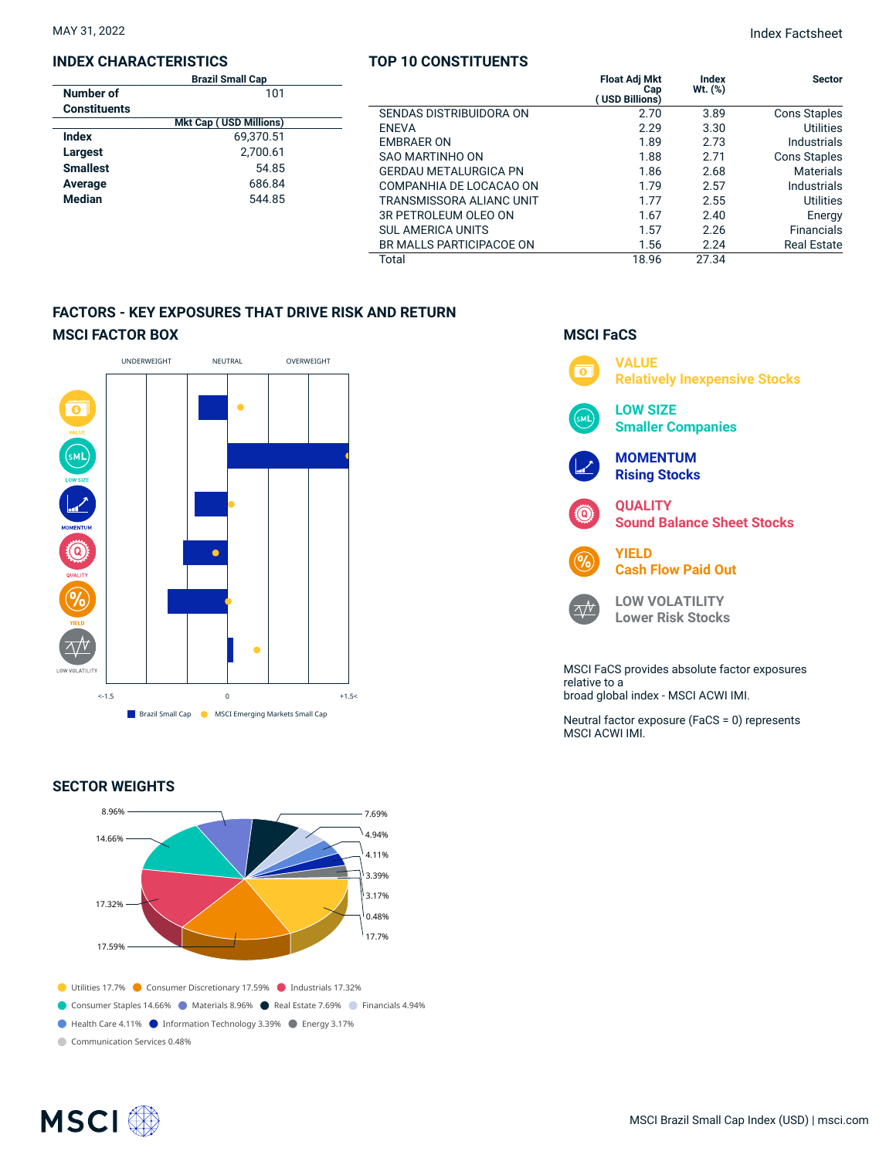### **INDEX CHARACTERISTICS**

|                     | <b>Brazil Small Cap</b>       |  |
|---------------------|-------------------------------|--|
| Number of           | 101                           |  |
| <b>Constituents</b> |                               |  |
|                     | <b>Mkt Cap (USD Millions)</b> |  |
| Index               | 69.370.51                     |  |
| Largest             | 2,700.61                      |  |
| <b>Smallest</b>     | 54.85                         |  |
| Average             | 686.84                        |  |
| <b>Median</b>       | 544.85                        |  |
|                     |                               |  |

## **TOP 10 CONSTITUENTS**

|     | 1961 1969 1970 111 122 133   |                                                     |                  |                     |
|-----|------------------------------|-----------------------------------------------------|------------------|---------------------|
| 01  |                              | <b>Float Adj Mkt</b><br>Cap<br><b>USD Billions)</b> | Index<br>Wt. (%) | <b>Sector</b>       |
|     | SENDAS DISTRIBUIDORA ON      | 2.70                                                | 3.89             | <b>Cons Staples</b> |
| າs) | <b>ENEVA</b>                 | 2.29                                                | 3.30             | <b>Utilities</b>    |
| 51  | <b>EMBRAER ON</b>            | 1.89                                                | 2.73             | Industrials         |
| 61  | SAO MARTINHO ON              | 1.88                                                | 2.71             | <b>Cons Staples</b> |
| 85  | <b>GERDAU METALURGICA PN</b> | 1.86                                                | 2.68             | <b>Materials</b>    |
| 84  | COMPANHIA DE LOCACAO ON      | 1.79                                                | 2.57             | Industrials         |
| 85  | TRANSMISSORA ALIANC UNIT     | 1.77                                                | 2.55             | Utilities           |
|     | 3R PETROLEUM OLEO ON         | 1.67                                                | 2.40             | Energy              |
|     | <b>SUL AMERICA UNITS</b>     | 1.57                                                | 2.26             | Financials          |
|     | BR MALLS PARTICIPACOE ON     | 1.56                                                | 2.24             | <b>Real Estate</b>  |
|     | Total                        | 18.96                                               | 27.34            |                     |

## **FACTORS - KEY EXPOSURES THAT DRIVE RISK AND RETURN MSCI FACTOR BOX**



## **SECTOR WEIGHTS**



## **MSCI FaCS VALUE**  $\overline{\bullet}$ **Relatively Inexpensive Stocks LOW SIZE Smaller Companies MOMENTUM Rising Stocks QUALITY Sound Balance Sheet Stocks YIELD Cash Flow Paid Out LOW VOLATILITY**  $\Delta N$ **Lower Risk Stocks** MSCI FaCS provides absolute factor exposures relative to a broad global index - MSCI ACWI IMI. Neutral factor exposure (FaCS = 0) represents MSCI ACWI IMI.